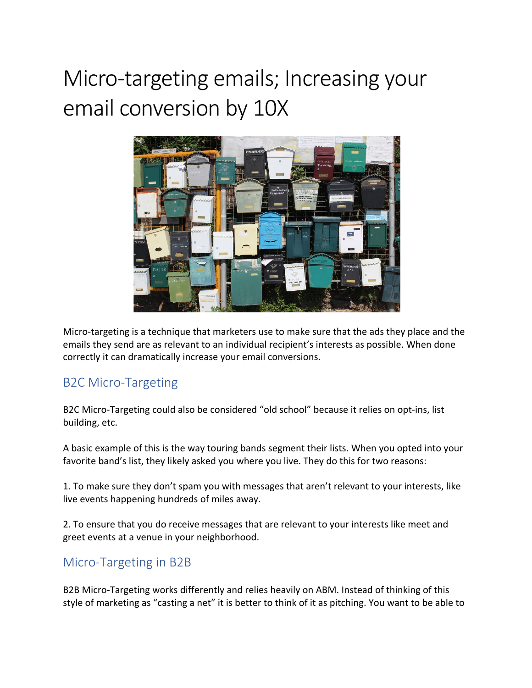# Micro-targeting emails; Increasing your email conversion by 10X



Micro-targeting is a technique that marketers use to make sure that the ads they place and the emails they send are as relevant to an individual recipient's interests as possible. When done correctly it can dramatically increase your email conversions.

#### B2C Micro-Targeting

B2C Micro-Targeting could also be considered "old school" because it relies on opt-ins, list building, etc.

A basic example of this is the way touring bands segment their lists. When you opted into your favorite band's list, they likely asked you where you live. They do this for two reasons:

1. To make sure they don't spam you with messages that aren't relevant to your interests, like live events happening hundreds of miles away.

2. To ensure that you do receive messages that are relevant to your interests like meet and greet events at a venue in your neighborhood.

#### Micro-Targeting in B2B

B2B Micro-Targeting works differently and relies heavily on ABM. Instead of thinking of this style of marketing as "casting a net" it is better to think of it as pitching. You want to be able to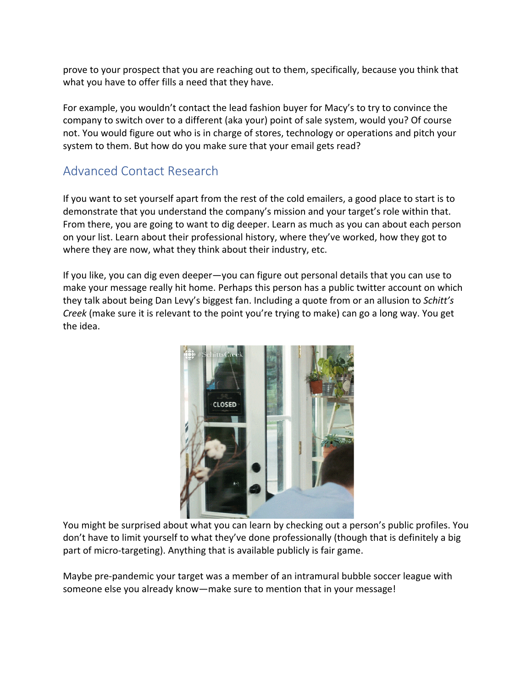prove to your prospect that you are reaching out to them, specifically, because you think that what you have to offer fills a need that they have.

For example, you wouldn't contact the lead fashion buyer for Macy's to try to convince the company to switch over to a different (aka your) point of sale system, would you? Of course not. You would figure out who is in charge of stores, technology or operations and pitch your system to them. But how do you make sure that your email gets read?

## Advanced Contact Research

If you want to set yourself apart from the rest of the cold emailers, a good place to start is to demonstrate that you understand the company's mission and your target's role within that. From there, you are going to want to dig deeper. Learn as much as you can about each person on your list. Learn about their professional history, where they've worked, how they got to where they are now, what they think about their industry, etc.

If you like, you can dig even deeper—you can figure out personal details that you can use to make your message really hit home. Perhaps this person has a public twitter account on which they talk about being Dan Levy's biggest fan. Including a quote from or an allusion to *Schitt's Creek* (make sure it is relevant to the point you're trying to make) can go a long way. You get the idea.



You might be surprised about what you can learn by checking out a person's public profiles. You don't have to limit yourself to what they've done professionally (though that is definitely a big part of micro-targeting). Anything that is available publicly is fair game.

Maybe pre-pandemic your target was a member of an intramural bubble soccer league with someone else you already know—make sure to mention that in your message!